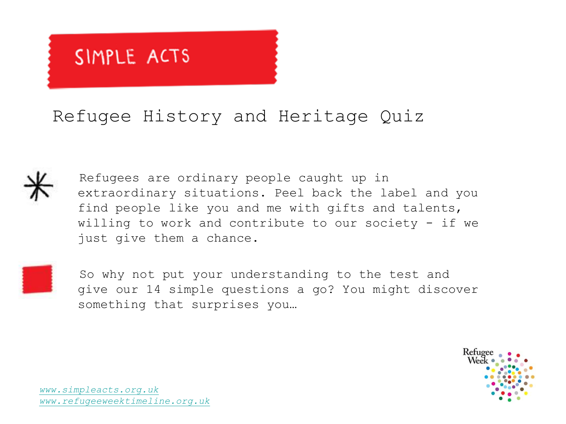### Refugee History and Heritage Quiz



 Refugees are ordinary people caught up in extraordinary situations. Peel back the label and you find people like you and me with gifts and talents, willing to work and contribute to our society  $-$  if we just give them a chance.



 So why not put your understanding to the test and give our 14 simple questions a go? You might discover something that surprises you…

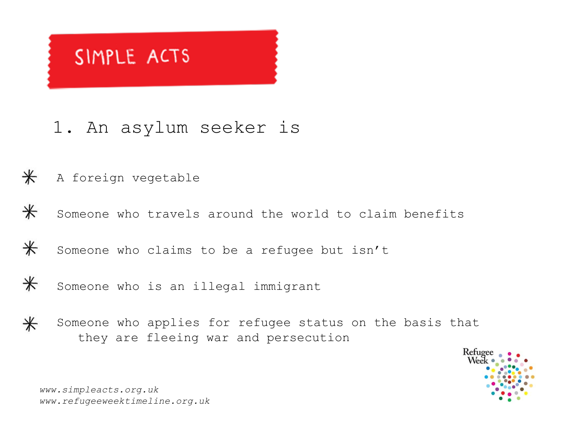### 1. An asylum seeker is

#### $\ast$ A foreign vegetable

 $\ast$ Someone who travels around the world to claim benefits

 $\ast$ Someone who claims to be a refugee but isn't

 $\ast$ Someone who is an illegal immigrant

 $\ast$ Someone who applies for refugee status on the basis that they are fleeing war and persecution

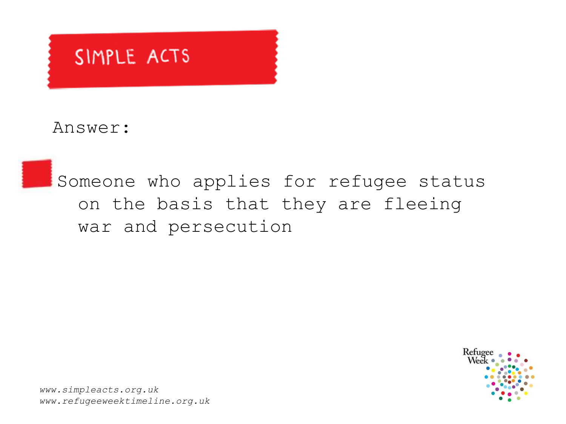Answer:

Someone who applies for refugee status on the basis that they are fleeing war and persecution

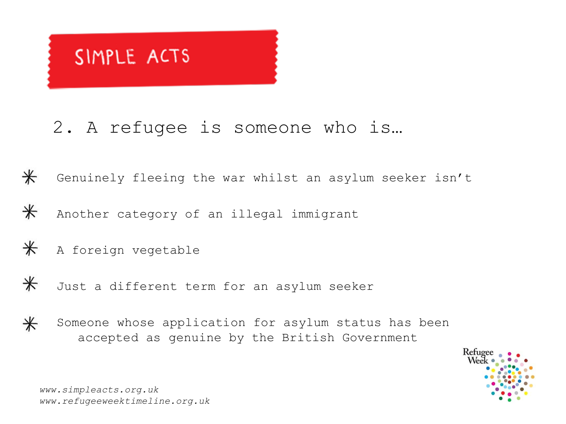### 2. A refugee is someone who is…

 $\ast$ Genuinely fleeing the war whilst an asylum seeker isn't

 $\ast$ Another category of an illegal immigrant

 $\ast$ A foreign vegetable

 $\ast$ Just a different term for an asylum seeker



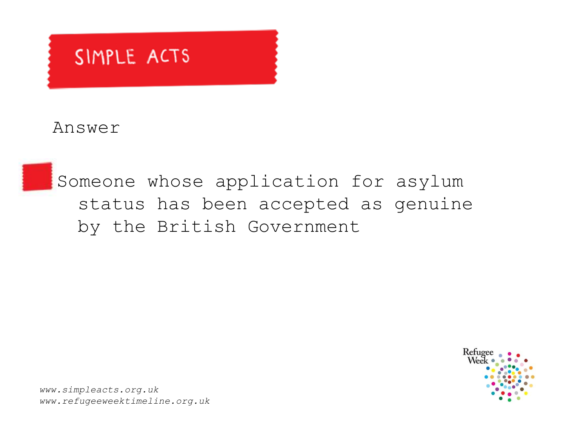Answer

Someone whose application for asylum status has been accepted as genuine by the British Government

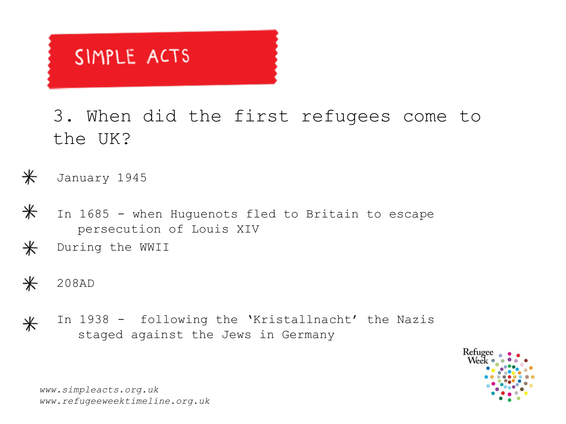3. When did the first refugees come to the UK?

 $\ast$ January 1945

- $\ast$ In 1685 - when Huguenots fled to Britain to escape persecution of Louis XIV
- $\ast$ During the WWII
- $\ast$ 208AD
- In 1938 following the 'Kristallnacht' the Nazis  $\ast$ staged against the Jews in Germany

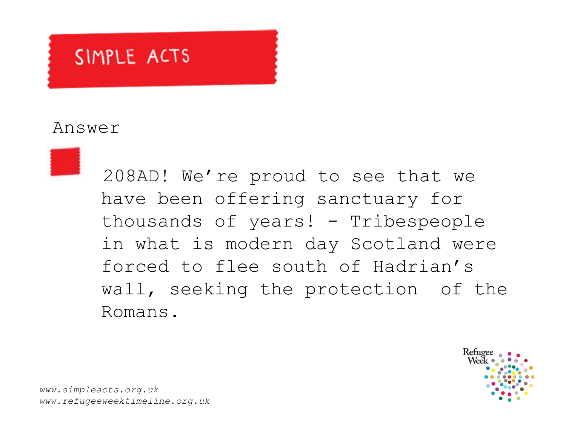#### Answer



 208AD! We're proud to see that we have been offering sanctuary for thousands of years! - Tribespeople in what is modern day Scotland were forced to flee south of Hadrian's wall, seeking the protection of the Romans.

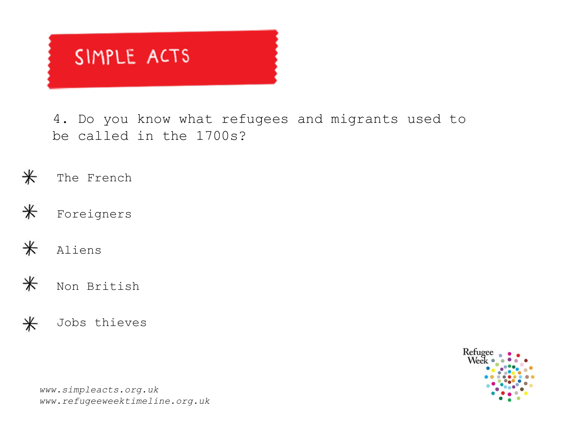4. Do you know what refugees and migrants used to be called in the 1700s?

 $\ast$ The French



 $\ast$ Aliens

 $\ast$ Non British

 $\ast$ Jobs thieves

Refuge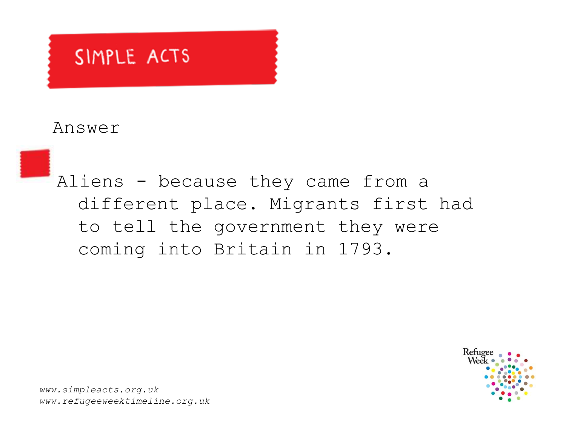#### Answer

Aliens - because they came from a different place. Migrants first had to tell the government they were coming into Britain in 1793.

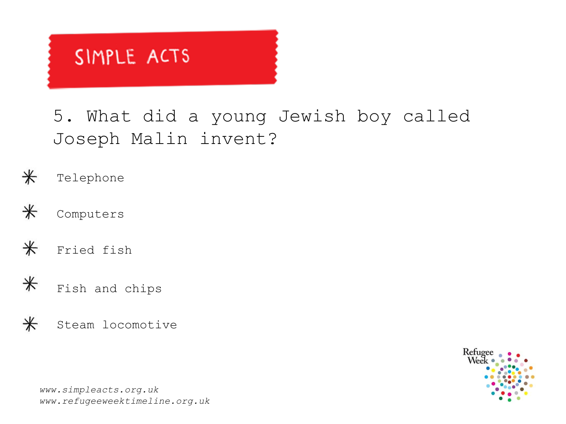5. What did a young Jewish boy called Joseph Malin invent?

- $\ast$ Telephone
- $\ast$ Computers
- $\ast$ Fried fish
- $\ast$ Fish and chips
- $\ast$ Steam locomotive

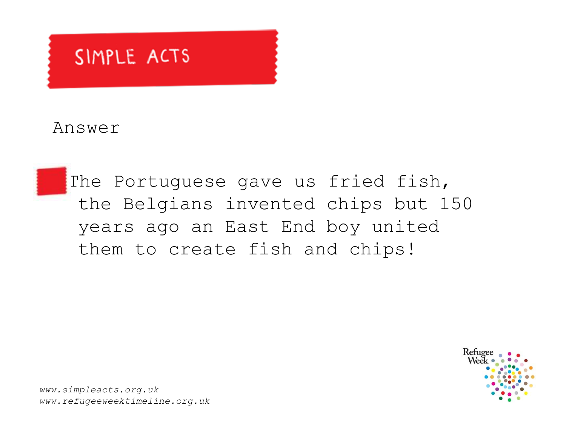Answer

The Portuguese gave us fried fish, the Belgians invented chips but 150 years ago an East End boy united them to create fish and chips!

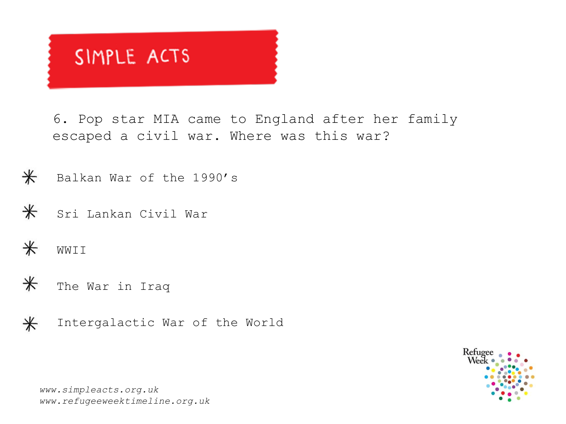6. Pop star MIA came to England after her family escaped a civil war. Where was this war?

 $\ast$ Balkan War of the 1990's

 $\ast$ Sri Lankan Civil War

 $\ast$ WWTT

 $\ast$ The War in Iraq



Intergalactic War of the World

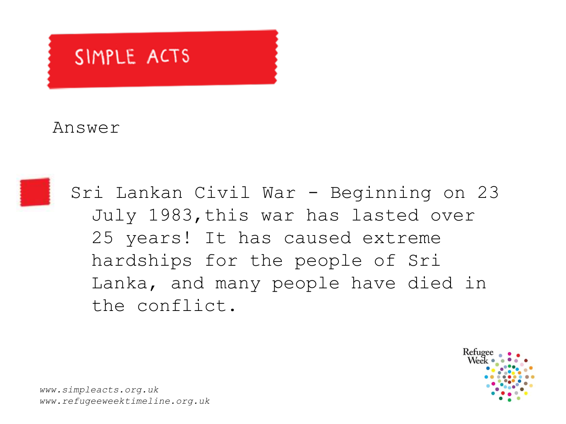### Answer



Sri Lankan Civil War - Beginning on 23 July 1983,this war has lasted over 25 years! It has caused extreme hardships for the people of Sri Lanka, and many people have died in the conflict.

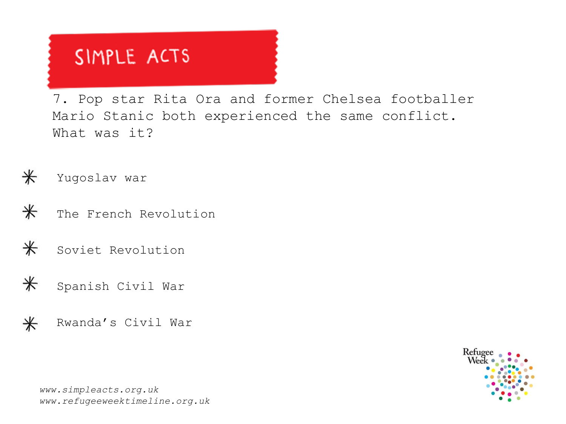7. Pop star Rita Ora and former Chelsea footballer Mario Stanic both experienced the same conflict. What was it?

 $\ast$ Yugoslav war

 $\ast$ The French Revolution



 $\ast$ Spanish Civil War

 $\ast$ Rwanda's Civil War

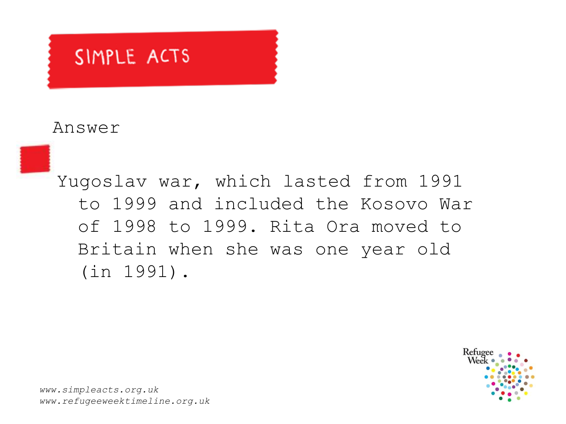#### Answer

Yugoslav war, which lasted from 1991 to 1999 and included the Kosovo War of 1998 to 1999. Rita Ora moved to Britain when she was one year old (in 1991).

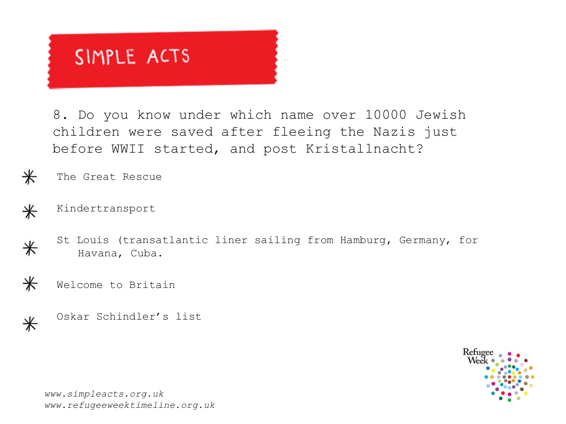8. Do you know under which name over 10000 Jewish children were saved after fleeing the Nazis just before WWII started, and post Kristallnacht?

The Great Rescue

Kindertransport  $\ast$ 

 $\ast$ 

 $\ast$ 

 $\ast$ 

 $\ast$ 

St Louis (transatlantic liner sailing from Hamburg, Germany, for Havana, Cuba.

Welcome to Britain

Oskar Schindler's list

Refuge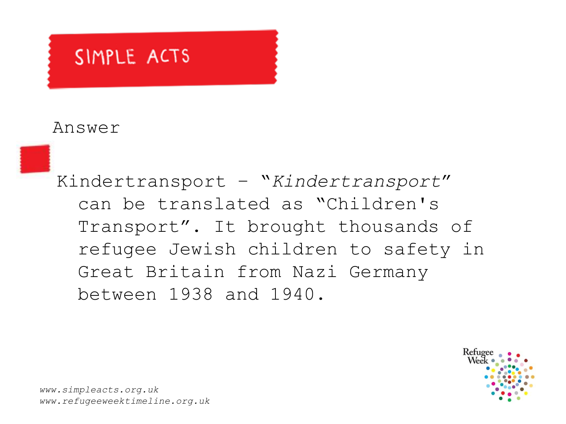#### Answer

Kindertransport – "*Kindertransport*" can be translated as "Children's Transport". It brought thousands of refugee Jewish children to safety in Great Britain from Nazi Germany between 1938 and 1940.

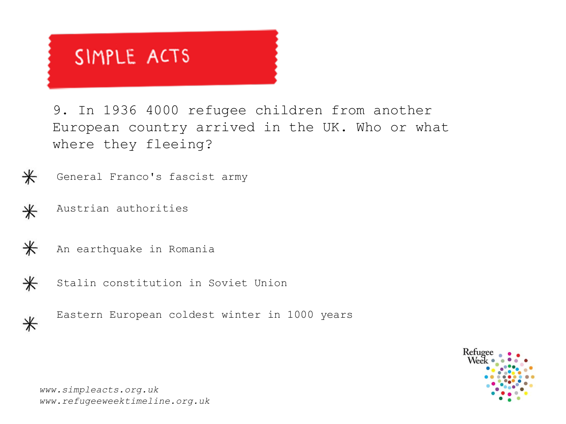9. In 1936 4000 refugee children from another European country arrived in the UK. Who or what where they fleeing?



General Franco's fascist army

Austrian authorities  $\ast$ 



 $\ast$ 

An earthquake in Romania

Stalin constitution in Soviet Union



Eastern European coldest winter in 1000 years

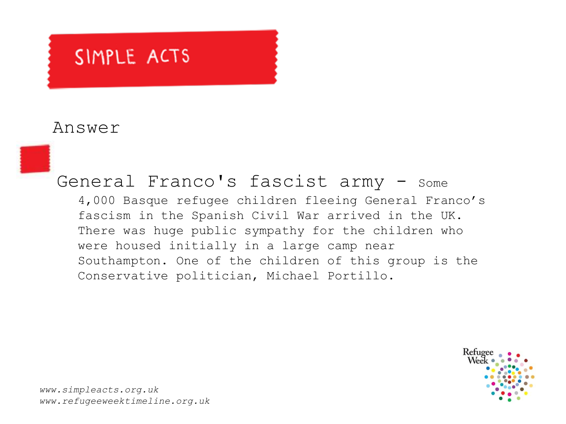#### Answer



4,000 Basque refugee children fleeing General Franco's fascism in the Spanish Civil War arrived in the UK. There was huge public sympathy for the children who were housed initially in a large camp near Southampton. One of the children of this group is the Conservative politician, Michael Portillo.

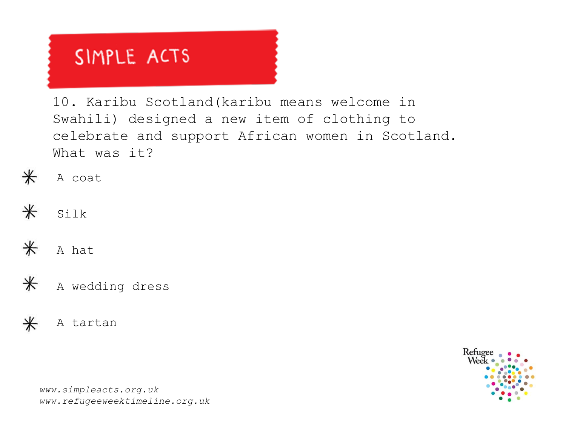10. Karibu Scotland(karibu means welcome in Swahili) designed a new item of clothing to celebrate and support African women in Scotland. What was it?

- $\ast$ A coat
- $\ast$ Silk
- $\ast$ A hat
- $\ast$ A wedding dress



Refuge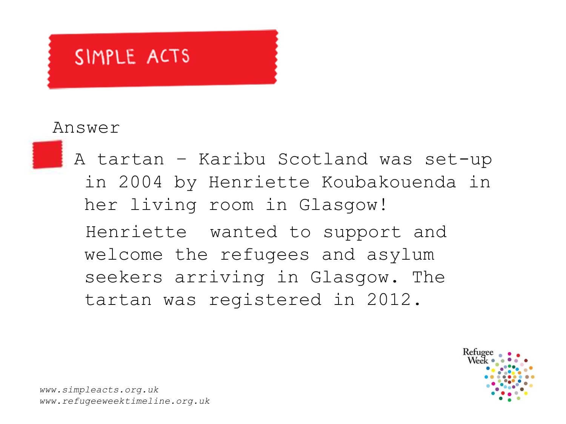#### Answer



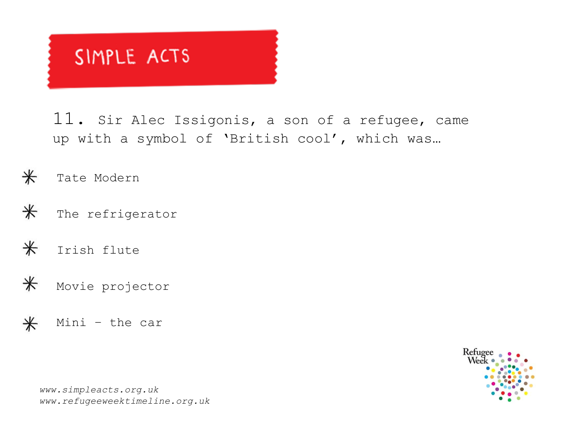11. Sir Alec Issigonis, a son of a refugee, came up with a symbol of 'British cool', which was…

 $\ast$ Tate Modern

 $\ast$ The refrigerator

 $\ast$ Irish flute

 $\ast$ Movie projector

Mini – the car $\ast$ 

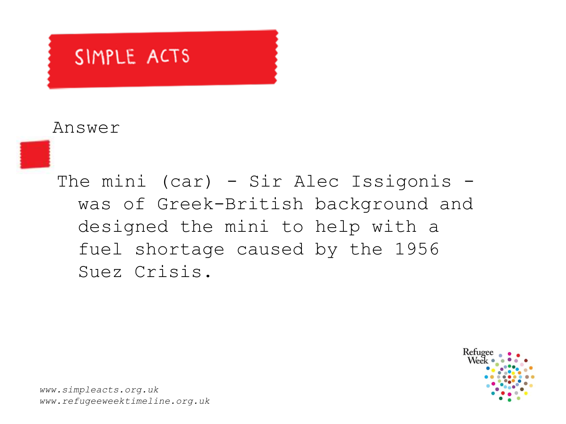#### Answer

The mini (car) - Sir Alec Issigonis was of Greek-British background and designed the mini to help with a fuel shortage caused by the 1956 Suez Crisis.

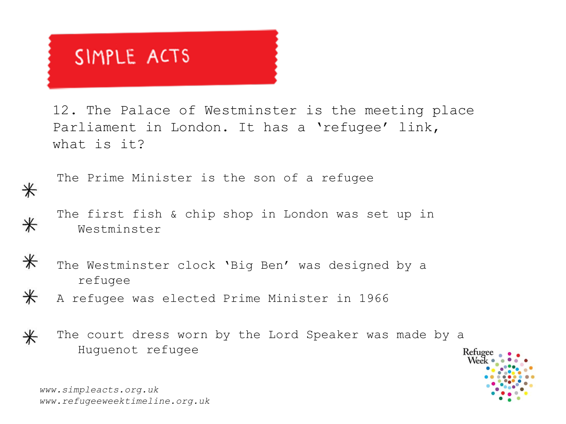12. The Palace of Westminster is the meeting place Parliament in London. It has a 'refugee' link, what is it?

The Prime Minister is the son of a refugee

The first fish & chip shop in London was set up in Westminster



 $\ast$ 

 $\ast$ 

 $\ast$ 

- The Westminster clock 'Big Ben' was designed by a refugee
- A refugee was elected Prime Minister in 1966
- The court dress worn by the Lord Speaker was made by a  $\ast$ Huguenot refugee

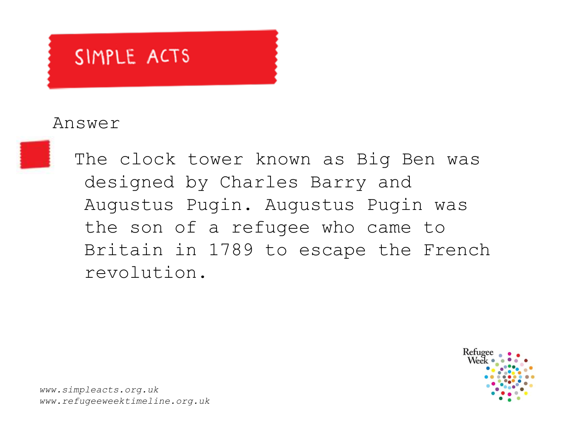#### Answer

The clock tower known as Big Ben was designed by Charles Barry and Augustus Pugin. Augustus Pugin was the son of a refugee who came to Britain in 1789 to escape the French revolution.

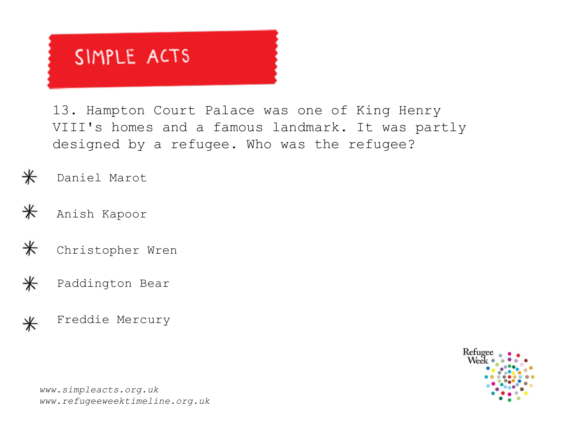13. Hampton Court Palace was one of King Henry VIII's homes and a famous landmark. It was partly designed by a refugee. Who was the refugee?

 $\ast$ Daniel Marot

- $\ast$ Anish Kapoor
- $\ast$ Christopher Wren
- $\ast$ Paddington Bear
- Freddie Mercury $\ast$

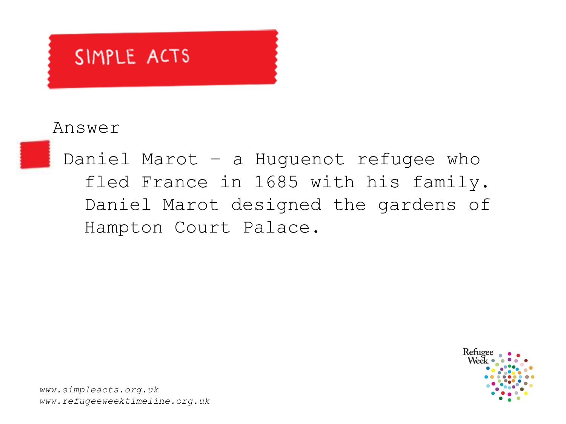#### Answer



Daniel Marot – a Huguenot refugee who fled France in 1685 with his family. Daniel Marot designed the gardens of Hampton Court Palace.

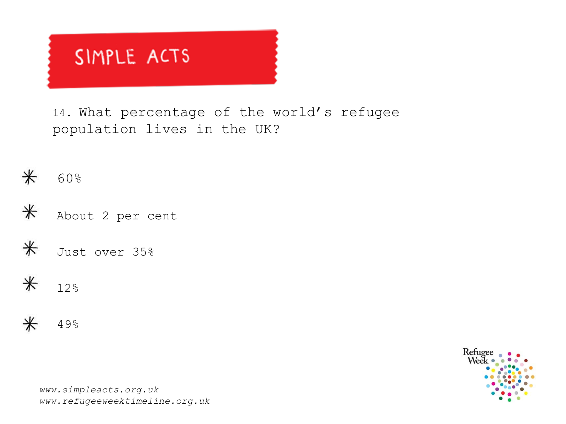14. What percentage of the world's refugee population lives in the UK?











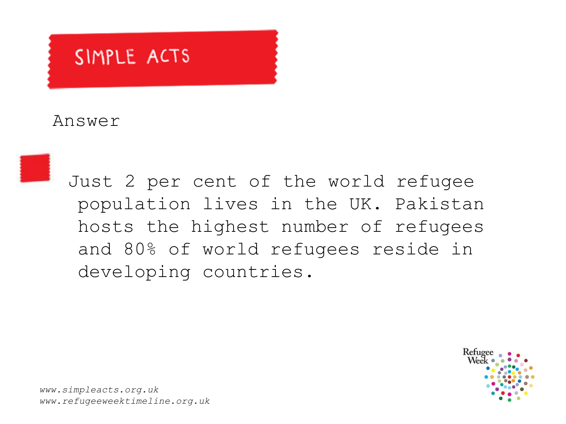#### Answer



Just 2 per cent of the world refugee population lives in the UK. Pakistan hosts the highest number of refugees and 80% of world refugees reside in developing countries.